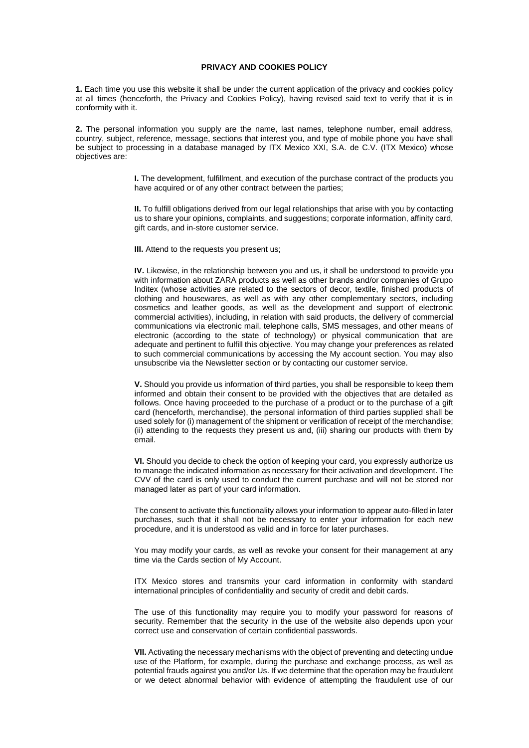# **PRIVACY AND COOKIES POLICY**

**1.** Each time you use this website it shall be under the current application of the privacy and cookies policy at all times (henceforth, the Privacy and Cookies Policy), having revised said text to verify that it is in conformity with it.

**2.** The personal information you supply are the name, last names, telephone number, email address, country, subject, reference, message, sections that interest you, and type of mobile phone you have shall be subject to processing in a database managed by ITX Mexico XXI, S.A. de C.V. (ITX Mexico) whose objectives are:

> **I.** The development, fulfillment, and execution of the purchase contract of the products you have acquired or of any other contract between the parties;

> **II.** To fulfill obligations derived from our legal relationships that arise with you by contacting us to share your opinions, complaints, and suggestions; corporate information, affinity card, gift cards, and in-store customer service.

**III.** Attend to the requests you present us;

**IV.** Likewise, in the relationship between you and us, it shall be understood to provide you with information about ZARA products as well as other brands and/or companies of Grupo Inditex (whose activities are related to the sectors of decor, textile, finished products of clothing and housewares, as well as with any other complementary sectors, including cosmetics and leather goods, as well as the development and support of electronic commercial activities), including, in relation with said products, the delivery of commercial communications via electronic mail, telephone calls, SMS messages, and other means of electronic (according to the state of technology) or physical communication that are adequate and pertinent to fulfill this objective. You may change your preferences as related to such commercial communications by accessing the My account section. You may also unsubscribe via the Newsletter section or by contacting our customer service.

**V.** Should you provide us information of third parties, you shall be responsible to keep them informed and obtain their consent to be provided with the objectives that are detailed as follows. Once having proceeded to the purchase of a product or to the purchase of a gift card (henceforth, merchandise), the personal information of third parties supplied shall be used solely for (i) management of the shipment or verification of receipt of the merchandise; (ii) attending to the requests they present us and, (iii) sharing our products with them by email.

**VI.** Should you decide to check the option of keeping your card, you expressly authorize us to manage the indicated information as necessary for their activation and development. The CVV of the card is only used to conduct the current purchase and will not be stored nor managed later as part of your card information.

The consent to activate this functionality allows your information to appear auto-filled in later purchases, such that it shall not be necessary to enter your information for each new procedure, and it is understood as valid and in force for later purchases.

You may modify your cards, as well as revoke your consent for their management at any time via the Cards section of My Account.

ITX Mexico stores and transmits your card information in conformity with standard international principles of confidentiality and security of credit and debit cards.

The use of this functionality may require you to modify your password for reasons of security. Remember that the security in the use of the website also depends upon your correct use and conservation of certain confidential passwords.

**VII.** Activating the necessary mechanisms with the object of preventing and detecting undue use of the Platform, for example, during the purchase and exchange process, as well as potential frauds against you and/or Us. If we determine that the operation may be fraudulent or we detect abnormal behavior with evidence of attempting the fraudulent use of our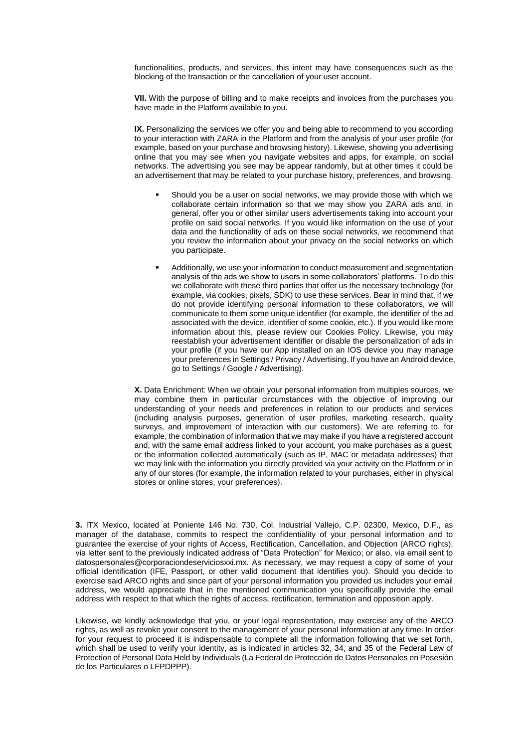functionalities, products, and services, this intent may have consequences such as the blocking of the transaction or the cancellation of your user account.

**VII.** With the purpose of billing and to make receipts and invoices from the purchases you have made in the Platform available to you.

**IX.** Personalizing the services we offer you and being able to recommend to you according to your interaction with ZARA in the Platform and from the analysis of your user profile (for example, based on your purchase and browsing history). Likewise, showing you advertising online that you may see when you navigate websites and apps, for example, on social networks. The advertising you see may be appear randomly, but at other times it could be an advertisement that may be related to your purchase history, preferences, and browsing.

- Should you be a user on social networks, we may provide those with which we collaborate certain information so that we may show you ZARA ads and, in general, offer you or other similar users advertisements taking into account your profile on said social networks. If you would like information on the use of your data and the functionality of ads on these social networks, we recommend that you review the information about your privacy on the social networks on which you participate.
- Additionally, we use your information to conduct measurement and segmentation analysis of the ads we show to users in some collaborators' platforms. To do this we collaborate with these third parties that offer us the necessary technology (for example, via cookies, pixels, SDK) to use these services. Bear in mind that, if we do not provide identifying personal information to these collaborators, we will communicate to them some unique identifier (for example, the identifier of the ad associated with the device, identifier of some cookie, etc.). If you would like more information about this, please review our Cookies Policy. Likewise, you may reestablish your advertisement identifier or disable the personalization of ads in your profile (if you have our App installed on an IOS device you may manage your preferences in Settings / Privacy / Advertising. If you have an Android device, go to Settings / Google / Advertising).

**X.** Data Enrichment: When we obtain your personal information from multiples sources, we may combine them in particular circumstances with the objective of improving our understanding of your needs and preferences in relation to our products and services (including analysis purposes, generation of user profiles, marketing research, quality survevs, and improvement of interaction with our customers). We are referring to, for example, the combination of information that we may make if you have a registered account and, with the same email address linked to your account, you make purchases as a guest; or the information collected automatically (such as IP, MAC or metadata addresses) that we may link with the information you directly provided via your activity on the Platform or in any of our stores (for example, the information related to your purchases, either in physical stores or online stores, your preferences).

**3.** ITX Mexico, located at Poniente 146 No. 730, Col. Industrial Vallejo, C.P. 02300, Mexico, D.F., as manager of the database, commits to respect the confidentiality of your personal information and to guarantee the exercise of your rights of Access, Rectification, Cancellation, and Objection (ARCO rights), via letter sent to the previously indicated address of "Data Protection" for Mexico; or also, via email sent to datospersonales@corporaciondeserviciosxxi.mx. As necessary, we may request a copy of some of your official identification (IFE, Passport, or other valid document that identifies you). Should you decide to exercise said ARCO rights and since part of your personal information you provided us includes your email address, we would appreciate that in the mentioned communication you specifically provide the email address with respect to that which the rights of access, rectification, termination and opposition apply.

Likewise, we kindly acknowledge that you, or your legal representation, may exercise any of the ARCO rights, as well as revoke your consent to the management of your personal information at any time. In order for your request to proceed it is indispensable to complete all the information following that we set forth, which shall be used to verify your identity, as is indicated in articles 32, 34, and 35 of the Federal Law of Protection of Personal Data Held by Individuals (La Federal de Protección de Datos Personales en Posesión de los Particulares o LFPDPPP).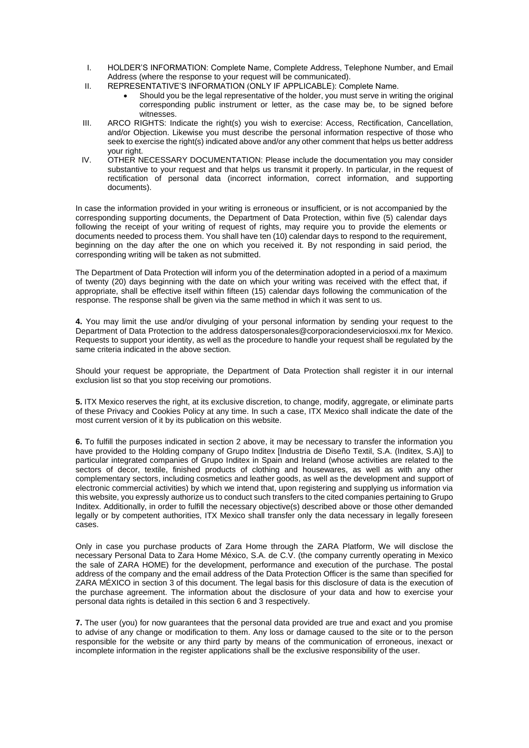- I. HOLDER'S INFORMATION: Complete Name, Complete Address, Telephone Number, and Email Address (where the response to your request will be communicated).
- II. REPRESENTATIVE'S INFORMATION (ONLY IF APPLICABLE): Complete Name.
	- Should you be the legal representative of the holder, you must serve in writing the original corresponding public instrument or letter, as the case may be, to be signed before witnesses.
- III. ARCO RIGHTS: Indicate the right(s) you wish to exercise: Access, Rectification, Cancellation, and/or Objection. Likewise you must describe the personal information respective of those who seek to exercise the right(s) indicated above and/or any other comment that helps us better address your right.
- IV. OTHER NECESSARY DOCUMENTATION: Please include the documentation you may consider substantive to your request and that helps us transmit it properly. In particular, in the request of rectification of personal data (incorrect information, correct information, and supporting documents).

In case the information provided in your writing is erroneous or insufficient, or is not accompanied by the corresponding supporting documents, the Department of Data Protection, within five (5) calendar days following the receipt of your writing of request of rights, may require you to provide the elements or documents needed to process them. You shall have ten (10) calendar days to respond to the requirement, beginning on the day after the one on which you received it. By not responding in said period, the corresponding writing will be taken as not submitted.

The Department of Data Protection will inform you of the determination adopted in a period of a maximum of twenty (20) days beginning with the date on which your writing was received with the effect that, if appropriate, shall be effective itself within fifteen (15) calendar days following the communication of the response. The response shall be given via the same method in which it was sent to us.

**4.** You may limit the use and/or divulging of your personal information by sending your request to the Department of Data Protection to the address datospersonales@corporaciondeserviciosxxi.mx for Mexico. Requests to support your identity, as well as the procedure to handle your request shall be regulated by the same criteria indicated in the above section.

Should your request be appropriate, the Department of Data Protection shall register it in our internal exclusion list so that you stop receiving our promotions.

**5.** ITX Mexico reserves the right, at its exclusive discretion, to change, modify, aggregate, or eliminate parts of these Privacy and Cookies Policy at any time. In such a case, ITX Mexico shall indicate the date of the most current version of it by its publication on this website.

**6.** To fulfill the purposes indicated in section 2 above, it may be necessary to transfer the information you have provided to the Holding company of Grupo Inditex [Industria de Diseño Textil, S.A. (Inditex, S.A)] to particular integrated companies of Grupo Inditex in Spain and Ireland (whose activities are related to the sectors of decor, textile, finished products of clothing and housewares, as well as with any other complementary sectors, including cosmetics and leather goods, as well as the development and support of electronic commercial activities) by which we intend that, upon registering and supplying us information via this website, you expressly authorize us to conduct such transfers to the cited companies pertaining to Grupo Inditex. Additionally, in order to fulfill the necessary objective(s) described above or those other demanded legally or by competent authorities, ITX Mexico shall transfer only the data necessary in legally foreseen cases.

Only in case you purchase products of Zara Home through the ZARA Platform, We will disclose the necessary Personal Data to Zara Home México, S.A. de C.V. (the company currently operating in Mexico the sale of ZARA HOME) for the development, performance and execution of the purchase. The postal address of the company and the email address of the Data Protection Officer is the same than specified for ZARA MÉXICO in section 3 of this document. The legal basis for this disclosure of data is the execution of the purchase agreement. The information about the disclosure of your data and how to exercise your personal data rights is detailed in this section 6 and 3 respectively.

**7.** The user (you) for now guarantees that the personal data provided are true and exact and you promise to advise of any change or modification to them. Any loss or damage caused to the site or to the person responsible for the website or any third party by means of the communication of erroneous, inexact or incomplete information in the register applications shall be the exclusive responsibility of the user.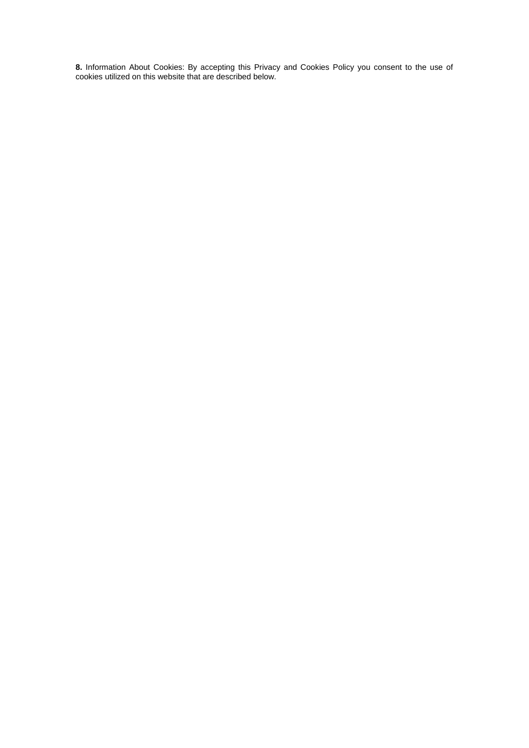**8.** Information About Cookies: By accepting this Privacy and Cookies Policy you consent to the use of cookies utilized on this website that are described below.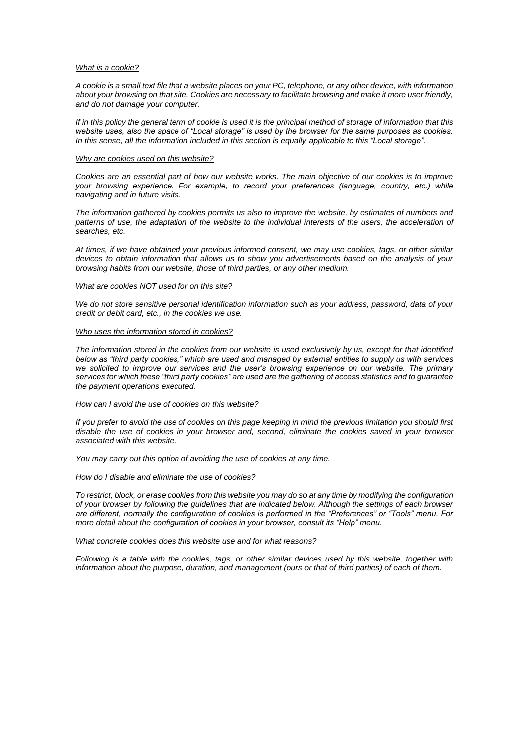#### *What is a cookie?*

*A cookie is a small text file that a website places on your PC, telephone, or any other device, with information about your browsing on that site. Cookies are necessary to facilitate browsing and make it more user friendly, and do not damage your computer.*

*If in this policy the general term of cookie is used it is the principal method of storage of information that this website uses, also the space of "Local storage" is used by the browser for the same purposes as cookies. In this sense, all the information included in this section is equally applicable to this "Local storage".*

#### *Why are cookies used on this website?*

*Cookies are an essential part of how our website works. The main objective of our cookies is to improve your browsing experience. For example, to record your preferences (language, country, etc.) while navigating and in future visits.*

*The information gathered by cookies permits us also to improve the website, by estimates of numbers and*  patterns of use, the adaptation of the website to the individual interests of the users, the acceleration of *searches, etc.* 

*At times, if we have obtained your previous informed consent, we may use cookies, tags, or other similar devices to obtain information that allows us to show you advertisements based on the analysis of your browsing habits from our website, those of third parties, or any other medium.* 

## *What are cookies NOT used for on this site?*

*We do not store sensitive personal identification information such as your address, password, data of your credit or debit card, etc., in the cookies we use.* 

#### *Who uses the information stored in cookies?*

*The information stored in the cookies from our website is used exclusively by us, except for that identified below as "third party cookies," which are used and managed by external entities to supply us with services*  we solicited to improve our services and the user's browsing experience on our website. The primary *services for which these "third party cookies" are used are the gathering of access statistics and to guarantee the payment operations executed.* 

# *How can I avoid the use of cookies on this website?*

*If you prefer to avoid the use of cookies on this page keeping in mind the previous limitation you should first disable the use of cookies in your browser and, second, eliminate the cookies saved in your browser associated with this website.* 

*You may carry out this option of avoiding the use of cookies at any time.* 

## *How do I disable and eliminate the use of cookies?*

*To restrict, block, or erase cookies from this website you may do so at any time by modifying the configuration of your browser by following the guidelines that are indicated below. Although the settings of each browser are different, normally the configuration of cookies is performed in the "Preferences" or "Tools" menu. For more detail about the configuration of cookies in your browser, consult its "Help" menu.*

# *What concrete cookies does this website use and for what reasons?*

*Following is a table with the cookies, tags, or other similar devices used by this website, together with information about the purpose, duration, and management (ours or that of third parties) of each of them.*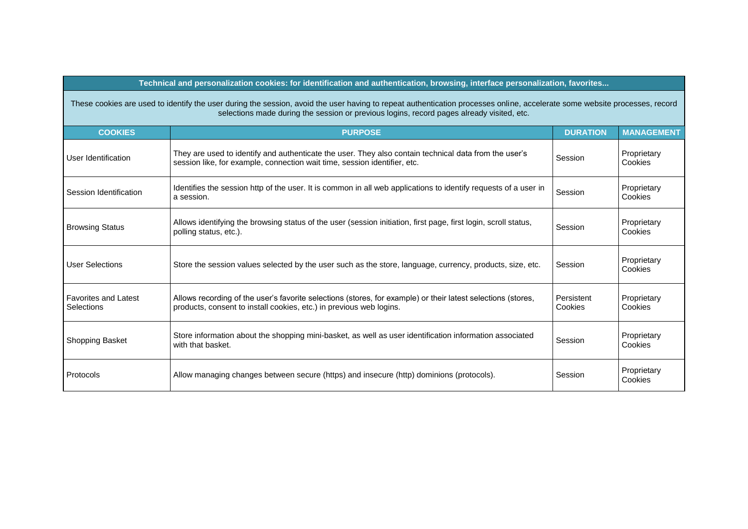# **Technical and personalization cookies: for identification and authentication, browsing, interface personalization, favorites...**

| These cookies are used to identify the user during the session, avoid the user having to repeat authentication processes online, accelerate some website processes, record |
|----------------------------------------------------------------------------------------------------------------------------------------------------------------------------|
| selections made during the session or previous logins, record pages already visited, etc.                                                                                  |

| <b>COOKIES</b>                            | <b>PURPOSE</b>                                                                                                                                                                      | <b>DURATION</b>       | <b>MANAGEMENT</b>      |
|-------------------------------------------|-------------------------------------------------------------------------------------------------------------------------------------------------------------------------------------|-----------------------|------------------------|
| User Identification                       | They are used to identify and authenticate the user. They also contain technical data from the user's<br>session like, for example, connection wait time, session identifier, etc.  | Session               | Proprietary<br>Cookies |
| Session Identification                    | Identifies the session http of the user. It is common in all web applications to identify requests of a user in<br>a session.                                                       | Session               | Proprietary<br>Cookies |
| <b>Browsing Status</b>                    | Allows identifying the browsing status of the user (session initiation, first page, first login, scroll status,<br>polling status, etc.).                                           | Session               | Proprietary<br>Cookies |
| <b>User Selections</b>                    | Store the session values selected by the user such as the store, language, currency, products, size, etc.                                                                           | Session               | Proprietary<br>Cookies |
| <b>Favorites and Latest</b><br>Selections | Allows recording of the user's favorite selections (stores, for example) or their latest selections (stores,<br>products, consent to install cookies, etc.) in previous web logins. | Persistent<br>Cookies | Proprietary<br>Cookies |
| Shopping Basket                           | Store information about the shopping mini-basket, as well as user identification information associated<br>with that basket.                                                        | Session               | Proprietary<br>Cookies |
| Protocols                                 | Allow managing changes between secure (https) and insecure (http) dominions (protocols).                                                                                            | Session               | Proprietary<br>Cookies |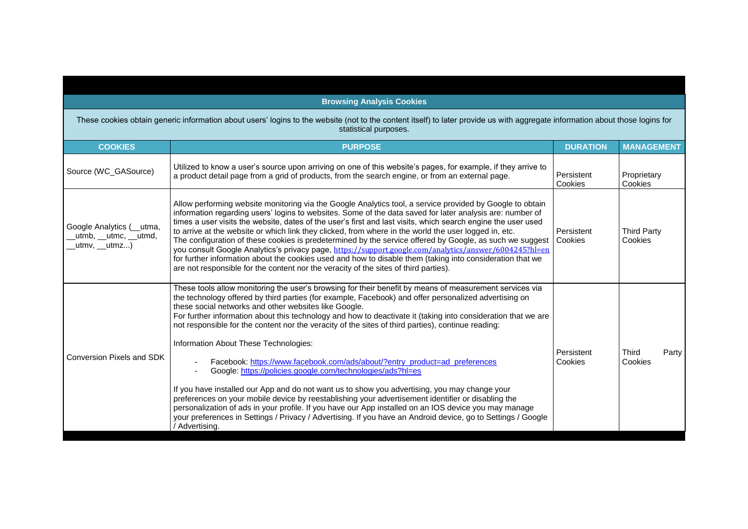| <b>Browsing Analysis Cookies</b>                                                                                                                                                                       |                                                                                                                                                                                                                                                                                                                                                                                                                                                                                                                                                                                                                                                                                                                                                                                                                                                                                                                                                                                                                                                                                                                                         |                       |                               |  |  |  |
|--------------------------------------------------------------------------------------------------------------------------------------------------------------------------------------------------------|-----------------------------------------------------------------------------------------------------------------------------------------------------------------------------------------------------------------------------------------------------------------------------------------------------------------------------------------------------------------------------------------------------------------------------------------------------------------------------------------------------------------------------------------------------------------------------------------------------------------------------------------------------------------------------------------------------------------------------------------------------------------------------------------------------------------------------------------------------------------------------------------------------------------------------------------------------------------------------------------------------------------------------------------------------------------------------------------------------------------------------------------|-----------------------|-------------------------------|--|--|--|
| These cookies obtain generic information about users' logins to the website (not to the content itself) to later provide us with aggregate information about those logins for<br>statistical purposes. |                                                                                                                                                                                                                                                                                                                                                                                                                                                                                                                                                                                                                                                                                                                                                                                                                                                                                                                                                                                                                                                                                                                                         |                       |                               |  |  |  |
| <b>COOKIES</b>                                                                                                                                                                                         | <b>PURPOSE</b>                                                                                                                                                                                                                                                                                                                                                                                                                                                                                                                                                                                                                                                                                                                                                                                                                                                                                                                                                                                                                                                                                                                          | <b>DURATION</b>       | <b>MANAGEMENT</b>             |  |  |  |
| Source (WC_GASource)                                                                                                                                                                                   | Utilized to know a user's source upon arriving on one of this website's pages, for example, if they arrive to<br>a product detail page from a grid of products, from the search engine, or from an external page.                                                                                                                                                                                                                                                                                                                                                                                                                                                                                                                                                                                                                                                                                                                                                                                                                                                                                                                       | Persistent<br>Cookies | Proprietary<br>Cookies        |  |  |  |
| Google Analytics (__utma,<br>_utmb, __utmc, __utmd,<br>_utmv, __utmz)                                                                                                                                  | Allow performing website monitoring via the Google Analytics tool, a service provided by Google to obtain<br>information regarding users' logins to websites. Some of the data saved for later analysis are: number of<br>times a user visits the website, dates of the user's first and last visits, which search engine the user used<br>to arrive at the website or which link they clicked, from where in the world the user logged in, etc.<br>The configuration of these cookies is predetermined by the service offered by Google, as such we suggest<br>you consult Google Analytics's privacy page, https://support.google.com/analytics/answer/6004245?hl=en<br>for further information about the cookies used and how to disable them (taking into consideration that we<br>are not responsible for the content nor the veracity of the sites of third parties).                                                                                                                                                                                                                                                             | Persistent<br>Cookies | <b>Third Party</b><br>Cookies |  |  |  |
| <b>Conversion Pixels and SDK</b>                                                                                                                                                                       | These tools allow monitoring the user's browsing for their benefit by means of measurement services via<br>the technology offered by third parties (for example, Facebook) and offer personalized advertising on<br>these social networks and other websites like Google.<br>For further information about this technology and how to deactivate it (taking into consideration that we are<br>not responsible for the content nor the veracity of the sites of third parties), continue reading:<br>Information About These Technologies:<br>Facebook: https://www.facebook.com/ads/about/?entry_product=ad_preferences<br>Google: https://policies.google.com/technologies/ads?hl=es<br>If you have installed our App and do not want us to show you advertising, you may change your<br>preferences on your mobile device by reestablishing your advertisement identifier or disabling the<br>personalization of ads in your profile. If you have our App installed on an IOS device you may manage<br>your preferences in Settings / Privacy / Advertising. If you have an Android device, go to Settings / Google<br>/ Advertising. | Persistent<br>Cookies | Third<br>Party<br>Cookies     |  |  |  |